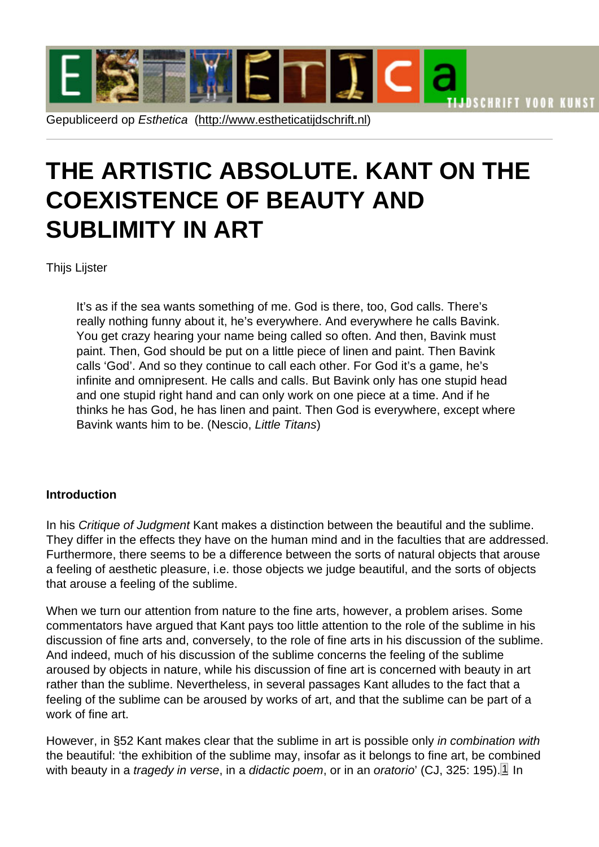# <span id="page-0-0"></span>THE ARTISTI[C ABSOLUTE. K](http://www.estheticatijdschrift.nl)ANT ON THE COEXISTENCE OF BEAUTY AND SUBLIMITY IN ART

Thijs Lijster

It's as if the sea wants something of me. God is there, too, God calls. There's really nothing funny about it, he's everywhere. And everywhere he calls Bavink. You get crazy hearing your name being called so often. And then, Bavink must paint. Then, God should be put on a little piece of linen and paint. Then Bavink calls 'God'. And so they continue to call each other. For God it's a game, he's infinite and omnipresent. He calls and calls. But Bavink only has one stupid head and one stupid right hand and can only work on one piece at a time. And if he thinks he has God, he has linen and paint. Then God is everywhere, except where Bavink wants him to be. (Nescio, Little Titans)

#### **Introduction**

In his Critique of Judgment Kant makes a distinction between the beautiful and the sublime. They differ in the effects they have on the human mind and in the faculties that are addressed. Furthermore, there seems to be a difference between the sorts of natural objects that arouse a feeling of aesthetic pleasure, i.e. those objects we judge beautiful, and the sorts of objects that arouse a feeling of the sublime.

When we turn our attention from nature to the fine arts, however, a problem arises. Some commentators have argued that Kant pays too little attention to the role of the sublime in his discussion of fine arts and, conversely, to the role of fine arts in his discussion of the sublime. And indeed, much of his discussion of the sublime concerns the feeling of the sublime aroused by objects in nature, while his discussion of fine art is concerned with beauty in art rather than the sublime. Nevertheless, in several passages Kant alludes to the fact that a feeling of the sublime can be aroused by works of art, and that the sublime can be part of a work of fine art.

However, in §52 Kant makes clear that the sublime in art is possible only in combination with the beautiful: 'the exhibition of the sublime may, insofar as it belongs to fine art, be combined with beauty in a tragedy in verse, in a didactic poem, or in an oratorio' (CJ, 325: 195).  $1$  In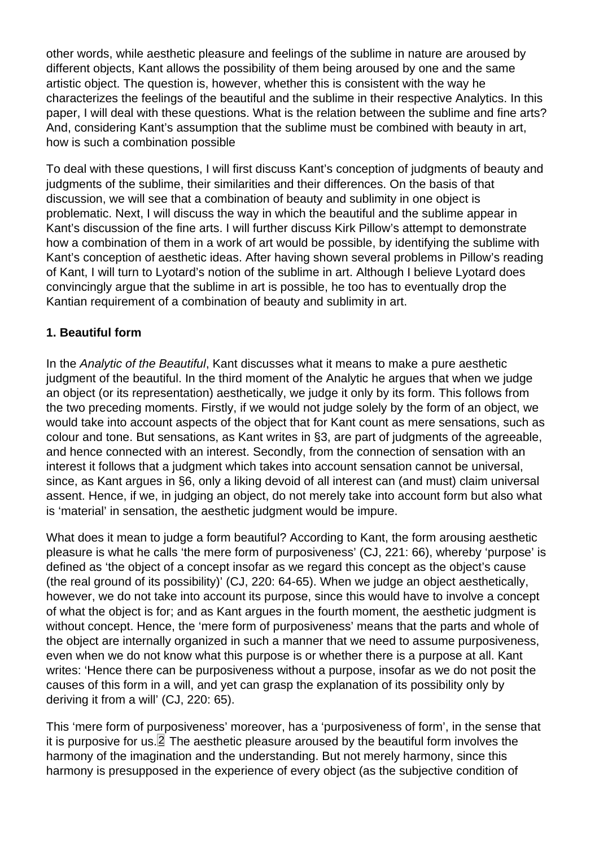<span id="page-1-0"></span>other words, while aesthetic pleasure and feelings of the sublime in nature are aroused by different objects, Kant allows the possibility of them being aroused by one and the same artistic object. The question is, however, whether this is consistent with the way he characterizes the feelings of the beautiful and the sublime in their respective Analytics. In this paper, I will deal with these questions. What is the relation between the sublime and fine arts? And, considering Kant's assumption that the sublime must be combined with beauty in art, how is such a combination possible

To deal with these questions, I will first discuss Kant's conception of judgments of beauty and judgments of the sublime, their similarities and their differences. On the basis of that discussion, we will see that a combination of beauty and sublimity in one object is problematic. Next, I will discuss the way in which the beautiful and the sublime appear in Kant's discussion of the fine arts. I will further discuss Kirk Pillow's attempt to demonstrate how a combination of them in a work of art would be possible, by identifying the sublime with Kant's conception of aesthetic ideas. After having shown several problems in Pillow's reading of Kant, I will turn to Lyotard's notion of the sublime in art. Although I believe Lyotard does convincingly argue that the sublime in art is possible, he too has to eventually drop the Kantian requirement of a combination of beauty and sublimity in art.

## 1. Beautiful form

In the Analytic of the Beautiful, Kant discusses what it means to make a pure aesthetic judgment of the beautiful. In the third moment of the Analytic he argues that when we judge an object (or its representation) aesthetically, we judge it only by its form. This follows from the two preceding moments. Firstly, if we would not judge solely by the form of an object, we would take into account aspects of the object that for Kant count as mere sensations, such as colour and tone. But sensations, as Kant writes in §3, are part of judgments of the agreeable, and hence connected with an interest. Secondly, from the connection of sensation with an interest it follows that a judgment which takes into account sensation cannot be universal, since, as Kant argues in §6, only a liking devoid of all interest can (and must) claim universal assent. Hence, if we, in judging an object, do not merely take into account form but also what is 'material' in sensation, the aesthetic judgment would be impure.

What does it mean to judge a form beautiful? According to Kant, the form arousing aesthetic pleasure is what he calls 'the mere form of purposiveness' (CJ, 221: 66), whereby 'purpose' is defined as 'the object of a concept insofar as we regard this concept as the object's cause (the real ground of its possibility)' (CJ, 220: 64-65). When we judge an object aesthetically, however, we do not take into account its purpose, since this would have to involve a concept of what the object is for; and as Kant argues in the fourth moment, the aesthetic judgment is without concept. Hence, the 'mere form of purposiveness' means that the parts and whole of the object are internally organized in such a manner that we need to assume purposiveness, even when we do not know what this purpose is or whether there is a purpose at all. Kant writes: 'Hence there can be purposiveness without a purpose, insofar as we do not posit the causes of this form in a will, and yet can grasp the explanation of its possibility only by deriving it from a will' (CJ, 220: 65).

This 'mere form of purposiveness' moreover, has a 'purposiveness of form', in the sense that it is purposive for us. $[2]$  The aesthetic pleasure aroused by the beautiful form involves the harmony of the imagination and the understanding. But not merely harmony, since this harmony is presupposed in the experience of every object (as the subjective condition of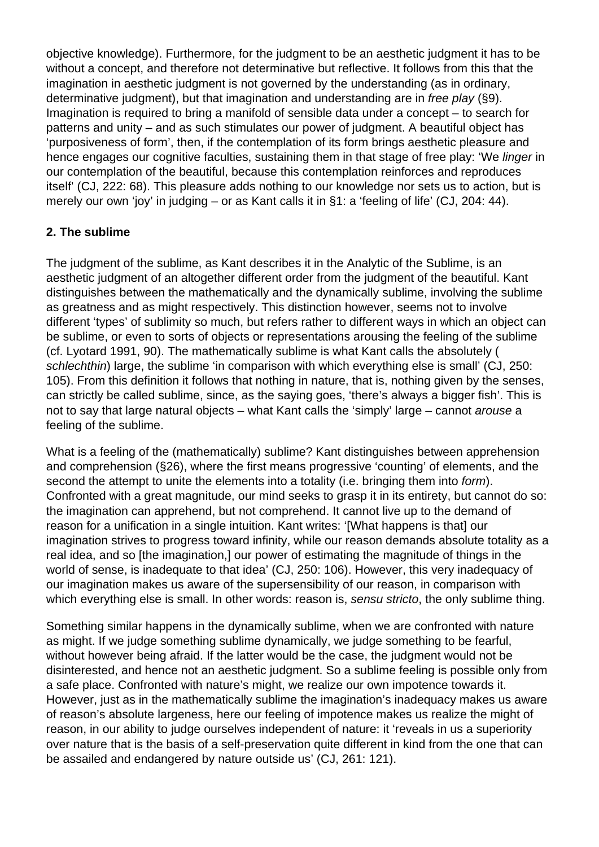objective knowledge). Furthermore, for the judgment to be an aesthetic judgment it has to be without a concept, and therefore not determinative but reflective. It follows from this that the imagination in aesthetic judgment is not governed by the understanding (as in ordinary, determinative judgment), but that imagination and understanding are in free play (§9). Imagination is required to bring a manifold of sensible data under a concept – to search for patterns and unity – and as such stimulates our power of judgment. A beautiful object has 'purposiveness of form', then, if the contemplation of its form brings aesthetic pleasure and hence engages our cognitive faculties, sustaining them in that stage of free play: 'We linger in our contemplation of the beautiful, because this contemplation reinforces and reproduces itself' (CJ, 222: 68). This pleasure adds nothing to our knowledge nor sets us to action, but is merely our own 'joy' in judging – or as Kant calls it in §1: a 'feeling of life' (CJ, 204: 44).

# **2. The sublime**

The judgment of the sublime, as Kant describes it in the Analytic of the Sublime, is an aesthetic judgment of an altogether different order from the judgment of the beautiful. Kant distinguishes between the mathematically and the dynamically sublime, involving the sublime as greatness and as might respectively. This distinction however, seems not to involve different 'types' of sublimity so much, but refers rather to different ways in which an object can be sublime, or even to sorts of objects or representations arousing the feeling of the sublime (cf. Lyotard 1991, 90). The mathematically sublime is what Kant calls the absolutely ( schlechthin) large, the sublime 'in comparison with which everything else is small' (CJ, 250: 105). From this definition it follows that nothing in nature, that is, nothing given by the senses, can strictly be called sublime, since, as the saying goes, 'there's always a bigger fish'. This is not to say that large natural objects – what Kant calls the 'simply' large – cannot arouse a feeling of the sublime.

What is a feeling of the (mathematically) sublime? Kant distinguishes between apprehension and comprehension (§26), where the first means progressive 'counting' of elements, and the second the attempt to unite the elements into a totality (i.e. bringing them into form). Confronted with a great magnitude, our mind seeks to grasp it in its entirety, but cannot do so: the imagination can apprehend, but not comprehend. It cannot live up to the demand of reason for a unification in a single intuition. Kant writes: '[What happens is that] our imagination strives to progress toward infinity, while our reason demands absolute totality as a real idea, and so [the imagination,] our power of estimating the magnitude of things in the world of sense, is inadequate to that idea' (CJ, 250: 106). However, this very inadequacy of our imagination makes us aware of the supersensibility of our reason, in comparison with which everything else is small. In other words: reason is, sensu stricto, the only sublime thing.

Something similar happens in the dynamically sublime, when we are confronted with nature as might. If we judge something sublime dynamically, we judge something to be fearful, without however being afraid. If the latter would be the case, the judgment would not be disinterested, and hence not an aesthetic judgment. So a sublime feeling is possible only from a safe place. Confronted with nature's might, we realize our own impotence towards it. However, just as in the mathematically sublime the imagination's inadequacy makes us aware of reason's absolute largeness, here our feeling of impotence makes us realize the might of reason, in our ability to judge ourselves independent of nature: it 'reveals in us a superiority over nature that is the basis of a self-preservation quite different in kind from the one that can be assailed and endangered by nature outside us' (CJ, 261: 121).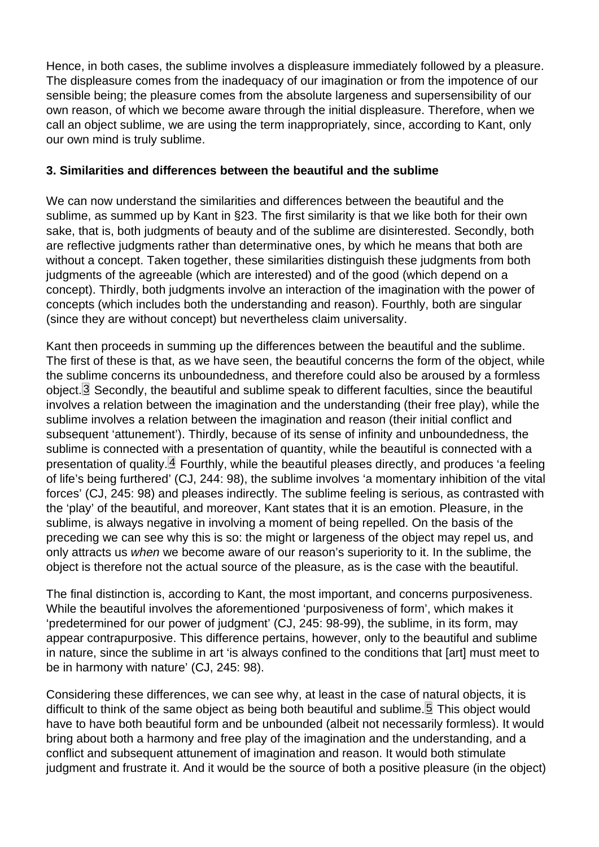<span id="page-3-0"></span>Hence, in both cases, the sublime involves a displeasure immediately followed by a pleasure. The displeasure comes from the inadequacy of our imagination or from the impotence of our sensible being; the pleasure comes from the absolute largeness and supersensibility of our own reason, of which we become aware through the initial displeasure. Therefore, when we call an object sublime, we are using the term inappropriately, since, according to Kant, only our own mind is truly sublime.

#### 3. Similarities and differences between the beautiful and the sublime

We can now understand the similarities and differences between the beautiful and the sublime, as summed up by Kant in §23. The first similarity is that we like both for their own sake, that is, both judgments of beauty and of the sublime are disinterested. Secondly, both are reflective judgments rather than determinative ones, by which he means that both are without a concept. Taken together, these similarities distinguish these judgments from both judgments of the agreeable (which are interested) and of the good (which depend on a concept). Thirdly, both judgments involve an interaction of the imagination with the power of concepts (which includes both the understanding and reason). Fourthly, both are singular (since they are without concept) but nevertheless claim universality.

Kant then proceeds in summing up the differences between the beautiful and the sublime. The first of these is that, as we have seen, the beautiful concerns the form of the object, while the sublime concerns its unboundedness, and therefore could also be aroused by a formless object.<sup>[3]</sup> Secondly, the beautiful and sublime speak to different faculties, since the beautiful involves a relation between the imagination and the understanding (their free play), while the sublime involves a relation between the imagination and reason (their initial conflict and subsequent 'attunement'). Thirdly, because of its sense of infinity and unboundedness, the sublime is connected with a presentation of quantity, while the beautiful is connected with a presentation of quality. $\mathbf{A}$  Fourthly, while the beautiful pleases directly, and produces 'a feeling of life's being furthered' (CJ, 244: 98), the sublime involves 'a momentary inhibition of the vital forces' (CJ, 245: 98) and pleases indirectly. The sublime feeling is serious, as contrasted with the 'play' of the beautiful, and moreover, Kant states that it is an emotion. Pleasure, in the sublime, is always negative in involving a moment of being repelled. On the basis of the preceding we can see why this is so: the might or largeness of the object may repel us, and only attracts us when we become aware of our reason's superiority to it. In the sublime, the object is therefore not the actual source of the pleasure, as is the case with the beautiful.

The final distinction is, according to Kant, the most important, and concerns purposiveness. While the beautiful involves the aforementioned 'purposiveness of form', which makes it 'predetermined for our power of judgment' (CJ, 245: 98-99), the sublime, in its form, may appear contrapurposive. This difference pertains, however, only to the beautiful and sublime in nature, since the sublime in art 'is always confined to the conditions that [art] must meet to be in harmony with nature' (CJ, 245: 98).

Considering these differences, we can see why, at least in the case of natural objects, it is difficult to think of the same object as being both beautiful and sublime.<sup>[5]</sup> This object would have to have both beautiful form and be unbounded (albeit not necessarily formless). It would bring about both a harmony and free play of the imagination and the understanding, and a conflict and subsequent attunement of imagination and reason. It would both stimulate judgment and frustrate it. And it would be the source of both a positive pleasure (in the object)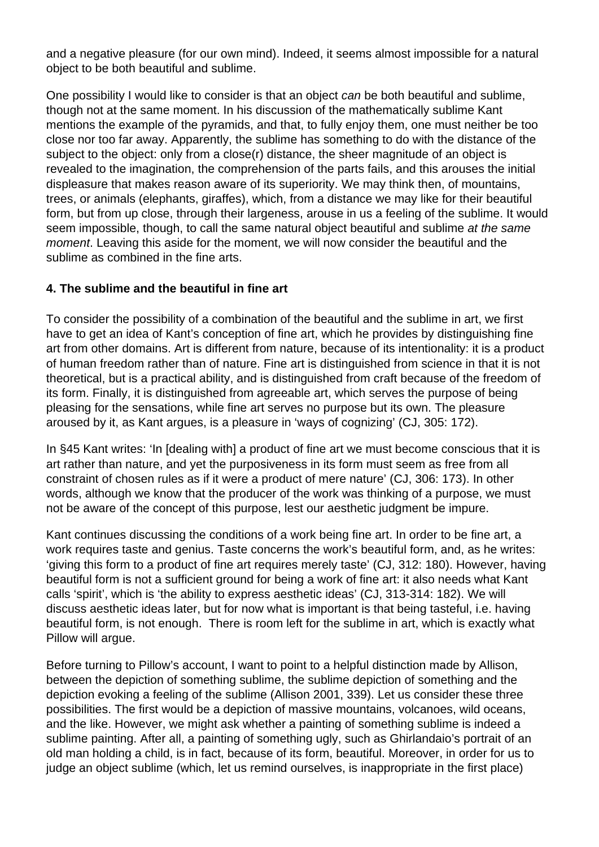and a negative pleasure (for our own mind). Indeed, it seems almost impossible for a natural object to be both beautiful and sublime.

One possibility I would like to consider is that an object can be both beautiful and sublime, though not at the same moment. In his discussion of the mathematically sublime Kant mentions the example of the pyramids, and that, to fully enjoy them, one must neither be too close nor too far away. Apparently, the sublime has something to do with the distance of the subject to the object: only from a close(r) distance, the sheer magnitude of an object is revealed to the imagination, the comprehension of the parts fails, and this arouses the initial displeasure that makes reason aware of its superiority. We may think then, of mountains, trees, or animals (elephants, giraffes), which, from a distance we may like for their beautiful form, but from up close, through their largeness, arouse in us a feeling of the sublime. It would seem impossible, though, to call the same natural object beautiful and sublime at the same moment. Leaving this aside for the moment, we will now consider the beautiful and the sublime as combined in the fine arts.

## **4. The sublime and the beautiful in fine art**

To consider the possibility of a combination of the beautiful and the sublime in art, we first have to get an idea of Kant's conception of fine art, which he provides by distinguishing fine art from other domains. Art is different from nature, because of its intentionality: it is a product of human freedom rather than of nature. Fine art is distinguished from science in that it is not theoretical, but is a practical ability, and is distinguished from craft because of the freedom of its form. Finally, it is distinguished from agreeable art, which serves the purpose of being pleasing for the sensations, while fine art serves no purpose but its own. The pleasure aroused by it, as Kant argues, is a pleasure in 'ways of cognizing' (CJ, 305: 172).

In §45 Kant writes: 'In [dealing with] a product of fine art we must become conscious that it is art rather than nature, and yet the purposiveness in its form must seem as free from all constraint of chosen rules as if it were a product of mere nature' (CJ, 306: 173). In other words, although we know that the producer of the work was thinking of a purpose, we must not be aware of the concept of this purpose, lest our aesthetic judgment be impure.

Kant continues discussing the conditions of a work being fine art. In order to be fine art, a work requires taste and genius. Taste concerns the work's beautiful form, and, as he writes: 'giving this form to a product of fine art requires merely taste' (CJ, 312: 180). However, having beautiful form is not a sufficient ground for being a work of fine art: it also needs what Kant calls 'spirit', which is 'the ability to express aesthetic ideas' (CJ, 313-314: 182). We will discuss aesthetic ideas later, but for now what is important is that being tasteful, i.e. having beautiful form, is not enough. There is room left for the sublime in art, which is exactly what Pillow will argue.

Before turning to Pillow's account, I want to point to a helpful distinction made by Allison, between the depiction of something sublime, the sublime depiction of something and the depiction evoking a feeling of the sublime (Allison 2001, 339). Let us consider these three possibilities. The first would be a depiction of massive mountains, volcanoes, wild oceans, and the like. However, we might ask whether a painting of something sublime is indeed a sublime painting. After all, a painting of something ugly, such as Ghirlandaio's portrait of an old man holding a child, is in fact, because of its form, beautiful. Moreover, in order for us to judge an object sublime (which, let us remind ourselves, is inappropriate in the first place)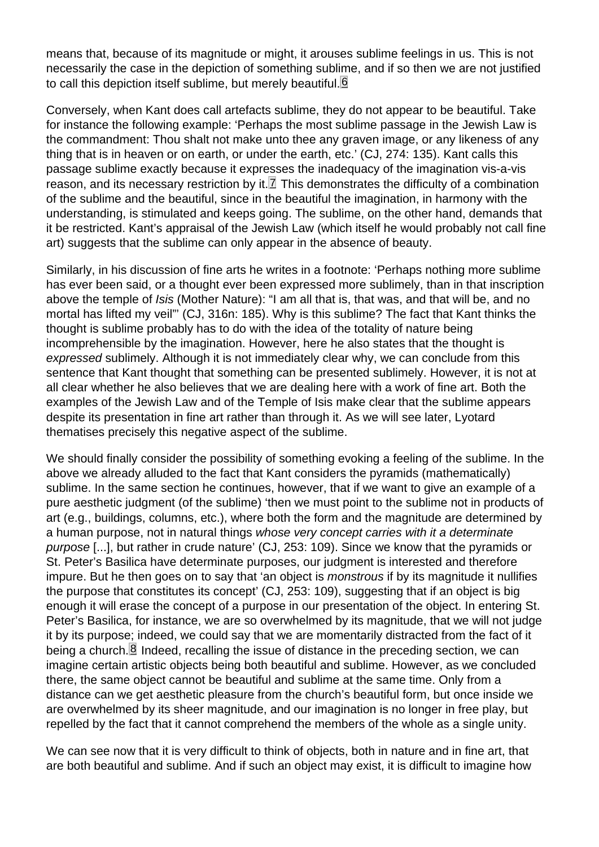<span id="page-5-0"></span>means that, because of its magnitude or might, it arouses sublime feelings in us. This is not necessarily the case in the depiction of something sublime, and if so then we are not justified to call this depiction itself sublime, but merely beautiful.<sup>6</sup>

Conversely, when Kant does call artefacts sublime, they do not appear to be beautiful. Take for instance the following example: 'Perhaps the most sublime passage in the Jewish Law is the commandment: Thou shalt not make unto thee any graven image, or any likeness of any thing that is in heaven or on earth, or under the earth, etc.' (CJ, 274: 135). Kant calls this passage sublime exactly because it expresses the inadequacy of the imagination vis-a-vis reason, and its necessary restriction by it.  $\mathbb Z$  This demonstrates the difficulty of a combination of the sublime and the beautiful, since in the beautiful the imagination, in harmony with the understanding, is stimulated and keeps going. The sublime, on the other hand, demands that it be restricted. Kant's appraisal of the Jewish Law (which itself he would probably not call fine art) suggests that the sublime can only appear in the absence of beauty.

Similarly, in his discussion of fine arts he writes in a footnote: 'Perhaps nothing more sublime has ever been said, or a thought ever been expressed more sublimely, than in that inscription above the temple of Isis (Mother Nature): "I am all that is, that was, and that will be, and no mortal has lifted my veil"' (CJ, 316n: 185). Why is this sublime? The fact that Kant thinks the thought is sublime probably has to do with the idea of the totality of nature being incomprehensible by the imagination. However, here he also states that the thought is expressed sublimely. Although it is not immediately clear why, we can conclude from this sentence that Kant thought that something can be presented sublimely. However, it is not at all clear whether he also believes that we are dealing here with a work of fine art. Both the examples of the Jewish Law and of the Temple of Isis make clear that the sublime appears despite its presentation in fine art rather than through it. As we will see later, Lyotard thematises precisely this negative aspect of the sublime.

We should finally consider the possibility of something evoking a feeling of the sublime. In the above we already alluded to the fact that Kant considers the pyramids (mathematically) sublime. In the same section he continues, however, that if we want to give an example of a pure aesthetic judgment (of the sublime) 'then we must point to the sublime not in products of art (e.g., buildings, columns, etc.), where both the form and the magnitude are determined by a human purpose, not in natural things whose very concept carries with it a determinate purpose [...], but rather in crude nature' (CJ, 253: 109). Since we know that the pyramids or St. Peter's Basilica have determinate purposes, our judgment is interested and therefore impure. But he then goes on to say that 'an object is monstrous if by its magnitude it nullifies the purpose that constitutes its concept' (CJ, 253: 109), suggesting that if an object is big enough it will erase the concept of a purpose in our presentation of the object. In entering St. Peter's Basilica, for instance, we are so overwhelmed by its magnitude, that we will not judge it by its purpose; indeed, we could say that we are momentarily distracted from the fact of it being a church.  $\boxtimes$  Indeed, recalling the issue of distance in the preceding section, we can imagine certain artistic objects being both beautiful and sublime. However, as we concluded there, the same object cannot be beautiful and sublime at the same time. Only from a distance can we get aesthetic pleasure from the church's beautiful form, but once inside we are overwhelmed by its sheer magnitude, and our imagination is no longer in free play, but repelled by the fact that it cannot comprehend the members of the whole as a single unity.

We can see now that it is very difficult to think of objects, both in nature and in fine art, that are both beautiful and sublime. And if such an object may exist, it is difficult to imagine how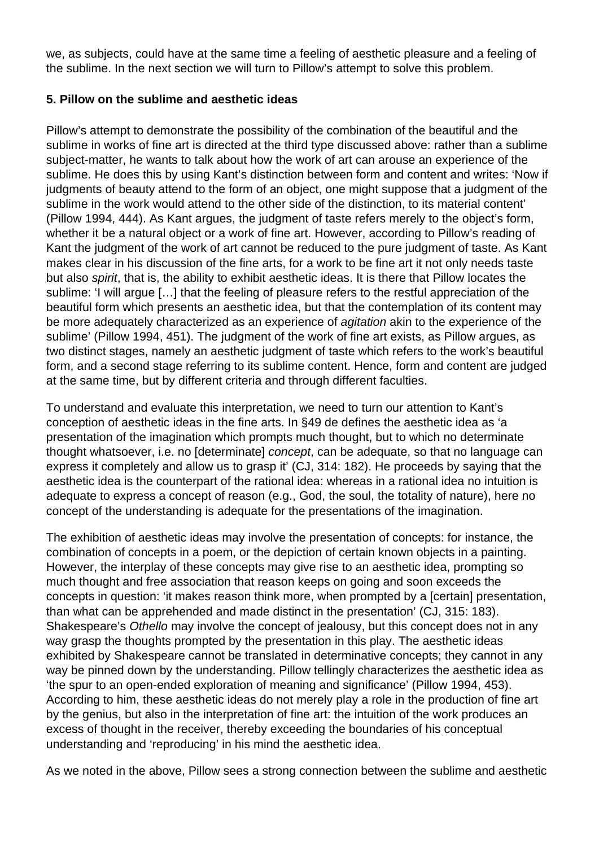we, as subjects, could have at the same time a feeling of aesthetic pleasure and a feeling of the sublime. In the next section we will turn to Pillow's attempt to solve this problem.

## **5. Pillow on the sublime and aesthetic ideas**

Pillow's attempt to demonstrate the possibility of the combination of the beautiful and the sublime in works of fine art is directed at the third type discussed above: rather than a sublime subject-matter, he wants to talk about how the work of art can arouse an experience of the sublime. He does this by using Kant's distinction between form and content and writes: 'Now if judgments of beauty attend to the form of an object, one might suppose that a judgment of the sublime in the work would attend to the other side of the distinction, to its material content' (Pillow 1994, 444). As Kant argues, the judgment of taste refers merely to the object's form, whether it be a natural object or a work of fine art. However, according to Pillow's reading of Kant the judgment of the work of art cannot be reduced to the pure judgment of taste. As Kant makes clear in his discussion of the fine arts, for a work to be fine art it not only needs taste but also spirit, that is, the ability to exhibit aesthetic ideas. It is there that Pillow locates the sublime: 'I will argue […] that the feeling of pleasure refers to the restful appreciation of the beautiful form which presents an aesthetic idea, but that the contemplation of its content may be more adequately characterized as an experience of agitation akin to the experience of the sublime' (Pillow 1994, 451). The judgment of the work of fine art exists, as Pillow argues, as two distinct stages, namely an aesthetic judgment of taste which refers to the work's beautiful form, and a second stage referring to its sublime content. Hence, form and content are judged at the same time, but by different criteria and through different faculties.

To understand and evaluate this interpretation, we need to turn our attention to Kant's conception of aesthetic ideas in the fine arts. In §49 de defines the aesthetic idea as 'a presentation of the imagination which prompts much thought, but to which no determinate thought whatsoever, i.e. no [determinate] concept, can be adequate, so that no language can express it completely and allow us to grasp it' (CJ, 314: 182). He proceeds by saying that the aesthetic idea is the counterpart of the rational idea: whereas in a rational idea no intuition is adequate to express a concept of reason (e.g., God, the soul, the totality of nature), here no concept of the understanding is adequate for the presentations of the imagination.

The exhibition of aesthetic ideas may involve the presentation of concepts: for instance, the combination of concepts in a poem, or the depiction of certain known objects in a painting. However, the interplay of these concepts may give rise to an aesthetic idea, prompting so much thought and free association that reason keeps on going and soon exceeds the concepts in question: 'it makes reason think more, when prompted by a [certain] presentation, than what can be apprehended and made distinct in the presentation' (CJ, 315: 183). Shakespeare's Othello may involve the concept of jealousy, but this concept does not in any way grasp the thoughts prompted by the presentation in this play. The aesthetic ideas exhibited by Shakespeare cannot be translated in determinative concepts; they cannot in any way be pinned down by the understanding. Pillow tellingly characterizes the aesthetic idea as 'the spur to an open-ended exploration of meaning and significance' (Pillow 1994, 453). According to him, these aesthetic ideas do not merely play a role in the production of fine art by the genius, but also in the interpretation of fine art: the intuition of the work produces an excess of thought in the receiver, thereby exceeding the boundaries of his conceptual understanding and 'reproducing' in his mind the aesthetic idea.

As we noted in the above, Pillow sees a strong connection between the sublime and aesthetic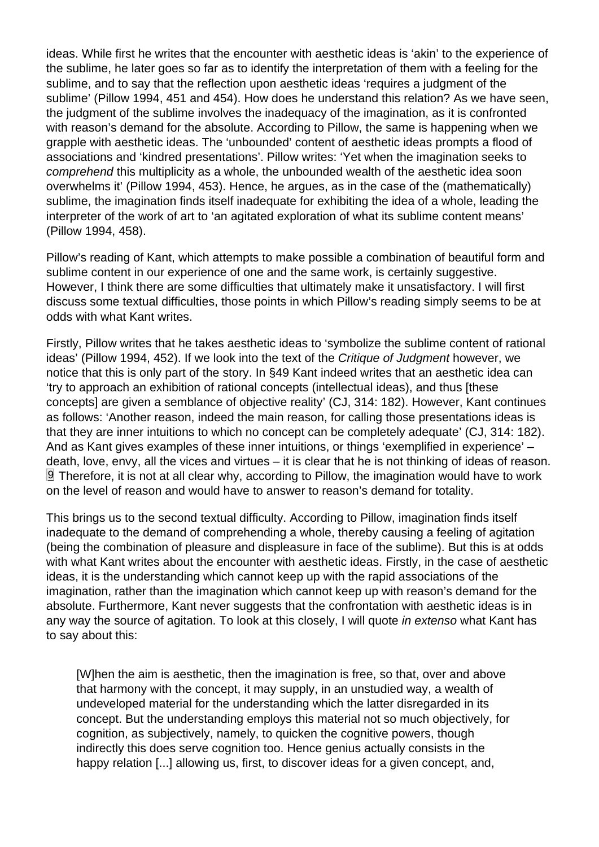<span id="page-7-0"></span>ideas. While first he writes that the encounter with aesthetic ideas is 'akin' to the experience of the sublime, he later goes so far as to identify the interpretation of them with a feeling for the sublime, and to say that the reflection upon aesthetic ideas 'requires a judgment of the sublime' (Pillow 1994, 451 and 454). How does he understand this relation? As we have seen, the judgment of the sublime involves the inadequacy of the imagination, as it is confronted with reason's demand for the absolute. According to Pillow, the same is happening when we grapple with aesthetic ideas. The 'unbounded' content of aesthetic ideas prompts a flood of associations and 'kindred presentations'. Pillow writes: 'Yet when the imagination seeks to comprehend this multiplicity as a whole, the unbounded wealth of the aesthetic idea soon overwhelms it' (Pillow 1994, 453). Hence, he argues, as in the case of the (mathematically) sublime, the imagination finds itself inadequate for exhibiting the idea of a whole, leading the interpreter of the work of art to 'an agitated exploration of what its sublime content means' (Pillow 1994, 458).

Pillow's reading of Kant, which attempts to make possible a combination of beautiful form and sublime content in our experience of one and the same work, is certainly suggestive. However, I think there are some difficulties that ultimately make it unsatisfactory. I will first discuss some textual difficulties, those points in which Pillow's reading simply seems to be at odds with what Kant writes.

Firstly, Pillow writes that he takes aesthetic ideas to 'symbolize the sublime content of rational ideas' (Pillow 1994, 452). If we look into the text of the Critique of Judgment however, we notice that this is only part of the story. In §49 Kant indeed writes that an aesthetic idea can 'try to approach an exhibition of rational concepts (intellectual ideas), and thus [these concepts] are given a semblance of objective reality' (CJ, 314: 182). However, Kant continues as follows: 'Another reason, indeed the main reason, for calling those presentations ideas is that they are inner intuitions to which no concept can be completely adequate' (CJ, 314: 182). And as Kant gives examples of these inner intuitions, or things 'exemplified in experience' – death, love, envy, all the vices and virtues – it is clear that he is not thinking of ideas of reason.  $9$  Therefore, it is not at all clear why, according to Pillow, the imagination would have to work on the level of reason and would have to answer to reason's demand for totality.

This brings us to the second textual difficulty. According to Pillow, imagination finds itself inadequate to the demand of comprehending a whole, thereby causing a feeling of agitation (being the combination of pleasure and displeasure in face of the sublime). But this is at odds with what Kant writes about the encounter with aesthetic ideas. Firstly, in the case of aesthetic ideas, it is the understanding which cannot keep up with the rapid associations of the imagination, rather than the imagination which cannot keep up with reason's demand for the absolute. Furthermore, Kant never suggests that the confrontation with aesthetic ideas is in any way the source of agitation. To look at this closely, I will quote in extenso what Kant has to say about this:

[W]hen the aim is aesthetic, then the imagination is free, so that, over and above that harmony with the concept, it may supply, in an unstudied way, a wealth of undeveloped material for the understanding which the latter disregarded in its concept. But the understanding employs this material not so much objectively, for cognition, as subjectively, namely, to quicken the cognitive powers, though indirectly this does serve cognition too. Hence genius actually consists in the happy relation [...] allowing us, first, to discover ideas for a given concept, and,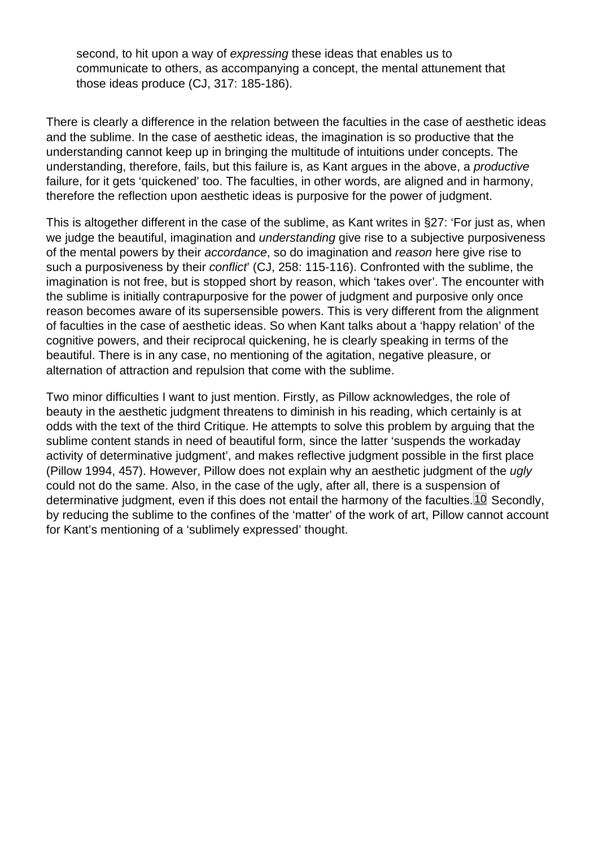<span id="page-8-0"></span>second, to hit upon a way of expressing these ideas that enables us to communicate to others, as accompanying a concept, the mental attunement that those ideas produce (CJ, 317: 185-186).

There is clearly a difference in the relation between the faculties in the case of aesthetic ideas and the sublime. In the case of aesthetic ideas, the imagination is so productive that the understanding cannot keep up in bringing the multitude of intuitions under concepts. The understanding, therefore, fails, but this failure is, as Kant argues in the above, a productive failure, for it gets 'quickened' too. The faculties, in other words, are aligned and in harmony, therefore the reflection upon aesthetic ideas is purposive for the power of judgment.

This is altogether different in the case of the sublime, as Kant writes in §27: 'For just as, when we judge the beautiful, imagination and understanding give rise to a subjective purposiveness of the mental powers by their accordance, so do imagination and reason here give rise to such a purposiveness by their conflict' (CJ, 258: 115-116). Confronted with the sublime, the imagination is not free, but is stopped short by reason, which 'takes over'. The encounter with the sublime is initially contrapurposive for the power of judgment and purposive only once reason becomes aware of its supersensible powers. This is very different from the alignment of faculties in the case of aesthetic ideas. So when Kant talks about a 'happy relation' of the cognitive powers, and their reciprocal quickening, he is clearly speaking in terms of the beautiful. There is in any case, no mentioning of the agitation, negative pleasure, or alternation of attraction and repulsion that come with the sublime.

Two minor difficulties I want to just mention. Firstly, as Pillow acknowledges, the role of beauty in the aesthetic judgment threatens to diminish in his reading, which certainly is at odds with the text of the third Critique. He attempts to solve this problem by arguing that the sublime content stands in need of beautiful form, since the latter 'suspends the workaday activity of determinative judgment', and makes reflective judgment possible in the first place (Pillow 1994, 457). However, Pillow does not explain why an aesthetic judgment of the ugly could not do the same. Also, in the case of the ugly, after all, there is a suspension of determinative judgment, even if this does not entail the harmony of the faculties.<sup>[10]</sup> Secondly, by reducing the sublime to the confines of the 'matter' of the work of art, Pillow cannot account for Kant's mentioning of a 'sublimely expressed' thought.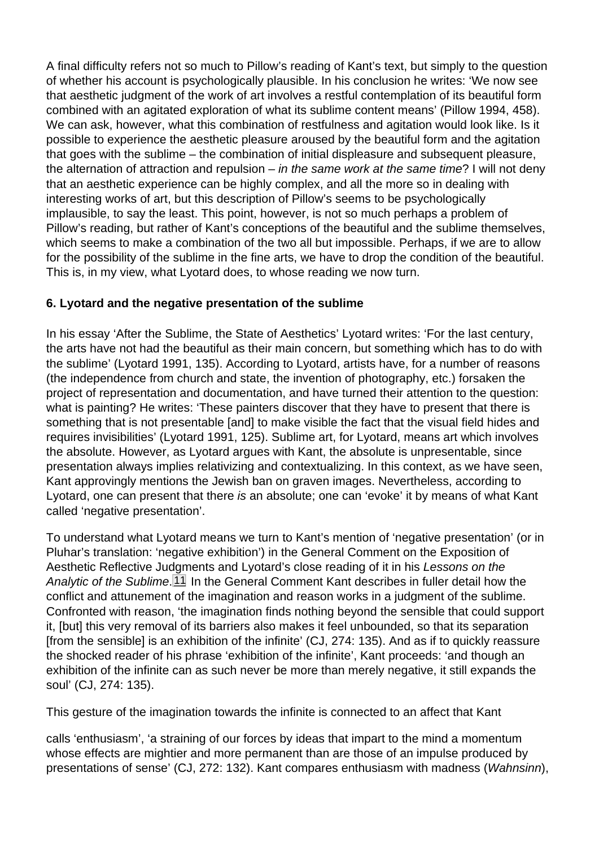<span id="page-9-0"></span>A final difficulty refers not so much to Pillow's reading of Kant's text, but simply to the question of whether his account is psychologically plausible. In his conclusion he writes: 'We now see that aesthetic judgment of the work of art involves a restful contemplation of its beautiful form combined with an agitated exploration of what its sublime content means' (Pillow 1994, 458). We can ask, however, what this combination of restfulness and agitation would look like. Is it possible to experience the aesthetic pleasure aroused by the beautiful form and the agitation that goes with the sublime – the combination of initial displeasure and subsequent pleasure, the alternation of attraction and repulsion – in the same work at the same time? I will not deny that an aesthetic experience can be highly complex, and all the more so in dealing with interesting works of art, but this description of Pillow's seems to be psychologically implausible, to say the least. This point, however, is not so much perhaps a problem of Pillow's reading, but rather of Kant's conceptions of the beautiful and the sublime themselves, which seems to make a combination of the two all but impossible. Perhaps, if we are to allow for the possibility of the sublime in the fine arts, we have to drop the condition of the beautiful. This is, in my view, what Lyotard does, to whose reading we now turn.

#### 6. Lyotard and the negative presentation of the sublime

In his essay 'After the Sublime, the State of Aesthetics' Lyotard writes: 'For the last century, the arts have not had the beautiful as their main concern, but something which has to do with the sublime' (Lyotard 1991, 135). According to Lyotard, artists have, for a number of reasons (the independence from church and state, the invention of photography, etc.) forsaken the project of representation and documentation, and have turned their attention to the question: what is painting? He writes: 'These painters discover that they have to present that there is something that is not presentable [and] to make visible the fact that the visual field hides and requires invisibilities' (Lyotard 1991, 125). Sublime art, for Lyotard, means art which involves the absolute. However, as Lyotard argues with Kant, the absolute is unpresentable, since presentation always implies relativizing and contextualizing. In this context, as we have seen, Kant approvingly mentions the Jewish ban on graven images. Nevertheless, according to Lyotard, one can present that there is an absolute; one can 'evoke' it by means of what Kant called 'negative presentation'.

To understand what Lyotard means we turn to Kant's mention of 'negative presentation' (or in Pluhar's translation: 'negative exhibition') in the General Comment on the Exposition of Aesthetic Reflective Judgments and Lyotard's close reading of it in his Lessons on the Analytic of the Sublime. 11 In the General Comment Kant describes in fuller detail how the conflict and attunement of the imagination and reason works in a judgment of the sublime. Confronted with reason, 'the imagination finds nothing beyond the sensible that could support it, [but] this very removal of its barriers also makes it feel unbounded, so that its separation [from the sensible] is an exhibition of the infinite' (CJ, 274: 135). And as if to quickly reassure the shocked reader of his phrase 'exhibition of the infinite', Kant proceeds: 'and though an exhibition of the infinite can as such never be more than merely negative, it still expands the soul' (CJ, 274: 135).

This gesture of the imagination towards the infinite is connected to an affect that Kant

calls 'enthusiasm', 'a straining of our forces by ideas that impart to the mind a momentum whose effects are mightier and more permanent than are those of an impulse produced by presentations of sense' (CJ, 272: 132). Kant compares enthusiasm with madness (Wahnsinn),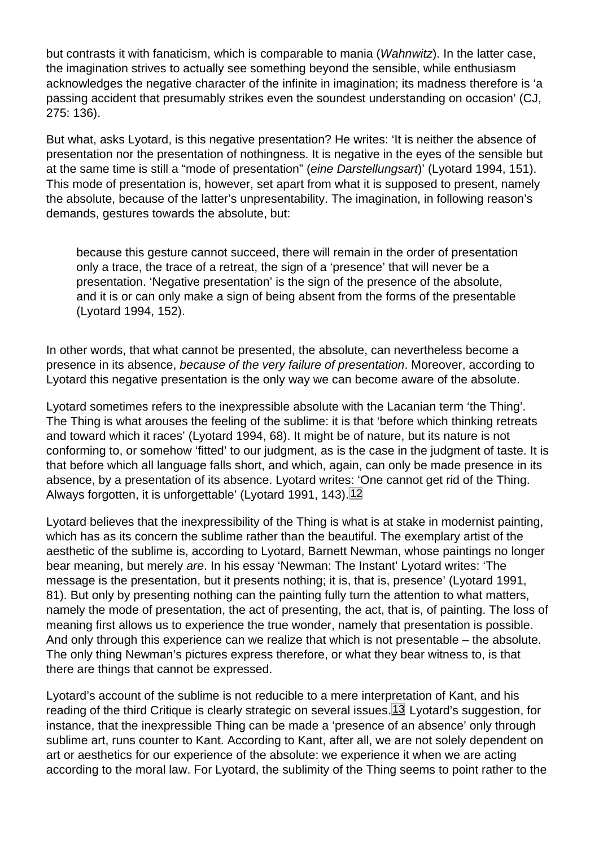<span id="page-10-0"></span>but contrasts it with fanaticism, which is comparable to mania (Wahnwitz). In the latter case, the imagination strives to actually see something beyond the sensible, while enthusiasm acknowledges the negative character of the infinite in imagination; its madness therefore is 'a passing accident that presumably strikes even the soundest understanding on occasion' (CJ, 275: 136).

But what, asks Lyotard, is this negative presentation? He writes: 'It is neither the absence of presentation nor the presentation of nothingness. It is negative in the eyes of the sensible but at the same time is still a "mode of presentation" (eine Darstellungsart)' (Lyotard 1994, 151). This mode of presentation is, however, set apart from what it is supposed to present, namely the absolute, because of the latter's unpresentability. The imagination, in following reason's demands, gestures towards the absolute, but:

because this gesture cannot succeed, there will remain in the order of presentation only a trace, the trace of a retreat, the sign of a 'presence' that will never be a presentation. 'Negative presentation' is the sign of the presence of the absolute, and it is or can only make a sign of being absent from the forms of the presentable (Lyotard 1994, 152).

In other words, that what cannot be presented, the absolute, can nevertheless become a presence in its absence, because of the very failure of presentation. Moreover, according to Lyotard this negative presentation is the only way we can become aware of the absolute.

Lyotard sometimes refers to the inexpressible absolute with the Lacanian term 'the Thing'. The Thing is what arouses the feeling of the sublime: it is that 'before which thinking retreats and toward which it races' (Lyotard 1994, 68). It might be of nature, but its nature is not conforming to, or somehow 'fitted' to our judgment, as is the case in the judgment of taste. It is that before which all language falls short, and which, again, can only be made presence in its absence, by a presentation of its absence. Lyotard writes: 'One cannot get rid of the Thing. Always forgotten, it is unforgettable' (Lyotard 1991, 143). 12

Lyotard believes that the inexpressibility of the Thing is what is at stake in modernist painting, which has as its concern the sublime rather than the beautiful. The exemplary artist of the aesthetic of the sublime is, according to Lyotard, Barnett Newman, whose paintings no longer bear meaning, but merely are. In his essay 'Newman: The Instant' Lyotard writes: 'The message is the presentation, but it presents nothing; it is, that is, presence' (Lyotard 1991, 81). But only by presenting nothing can the painting fully turn the attention to what matters, namely the mode of presentation, the act of presenting, the act, that is, of painting. The loss of meaning first allows us to experience the true wonder, namely that presentation is possible. And only through this experience can we realize that which is not presentable – the absolute. The only thing Newman's pictures express therefore, or what they bear witness to, is that there are things that cannot be expressed.

Lyotard's account of the sublime is not reducible to a mere interpretation of Kant, and his reading of the third Critique is clearly strategic on several issues.<sup>[13]</sup> Lyotard's suggestion, for instance, that the inexpressible Thing can be made a 'presence of an absence' only through sublime art, runs counter to Kant. According to Kant, after all, we are not solely dependent on art or aesthetics for our experience of the absolute: we experience it when we are acting according to the moral law. For Lyotard, the sublimity of the Thing seems to point rather to the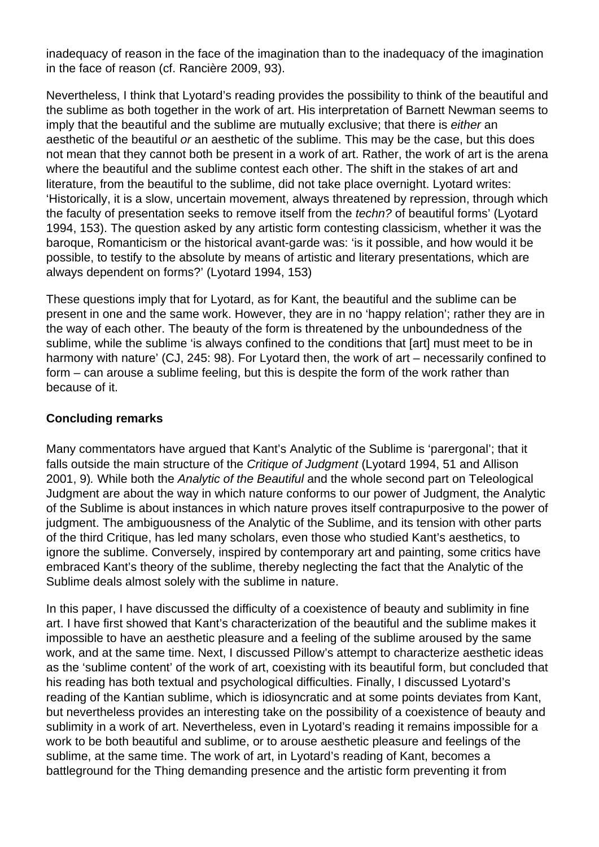inadequacy of reason in the face of the imagination than to the inadequacy of the imagination in the face of reason (cf. Rancière 2009, 93).

Nevertheless, I think that Lyotard's reading provides the possibility to think of the beautiful and the sublime as both together in the work of art. His interpretation of Barnett Newman seems to imply that the beautiful and the sublime are mutually exclusive; that there is either an aesthetic of the beautiful or an aesthetic of the sublime. This may be the case, but this does not mean that they cannot both be present in a work of art. Rather, the work of art is the arena where the beautiful and the sublime contest each other. The shift in the stakes of art and literature, from the beautiful to the sublime, did not take place overnight. Lyotard writes: 'Historically, it is a slow, uncertain movement, always threatened by repression, through which the faculty of presentation seeks to remove itself from the techn? of beautiful forms' (Lyotard 1994, 153). The question asked by any artistic form contesting classicism, whether it was the baroque, Romanticism or the historical avant-garde was: 'is it possible, and how would it be possible, to testify to the absolute by means of artistic and literary presentations, which are always dependent on forms?' (Lyotard 1994, 153)

These questions imply that for Lyotard, as for Kant, the beautiful and the sublime can be present in one and the same work. However, they are in no 'happy relation'; rather they are in the way of each other. The beauty of the form is threatened by the unboundedness of the sublime, while the sublime 'is always confined to the conditions that [art] must meet to be in harmony with nature' (CJ, 245: 98). For Lyotard then, the work of art – necessarily confined to form – can arouse a sublime feeling, but this is despite the form of the work rather than because of it.

## **Concluding remarks**

Many commentators have argued that Kant's Analytic of the Sublime is 'parergonal'; that it falls outside the main structure of the Critique of Judgment (Lyotard 1994, 51 and Allison 2001, 9). While both the Analytic of the Beautiful and the whole second part on Teleological Judgment are about the way in which nature conforms to our power of Judgment, the Analytic of the Sublime is about instances in which nature proves itself contrapurposive to the power of judgment. The ambiguousness of the Analytic of the Sublime, and its tension with other parts of the third Critique, has led many scholars, even those who studied Kant's aesthetics, to ignore the sublime. Conversely, inspired by contemporary art and painting, some critics have embraced Kant's theory of the sublime, thereby neglecting the fact that the Analytic of the Sublime deals almost solely with the sublime in nature.

In this paper, I have discussed the difficulty of a coexistence of beauty and sublimity in fine art. I have first showed that Kant's characterization of the beautiful and the sublime makes it impossible to have an aesthetic pleasure and a feeling of the sublime aroused by the same work, and at the same time. Next, I discussed Pillow's attempt to characterize aesthetic ideas as the 'sublime content' of the work of art, coexisting with its beautiful form, but concluded that his reading has both textual and psychological difficulties. Finally, I discussed Lyotard's reading of the Kantian sublime, which is idiosyncratic and at some points deviates from Kant, but nevertheless provides an interesting take on the possibility of a coexistence of beauty and sublimity in a work of art. Nevertheless, even in Lyotard's reading it remains impossible for a work to be both beautiful and sublime, or to arouse aesthetic pleasure and feelings of the sublime, at the same time. The work of art, in Lyotard's reading of Kant, becomes a battleground for the Thing demanding presence and the artistic form preventing it from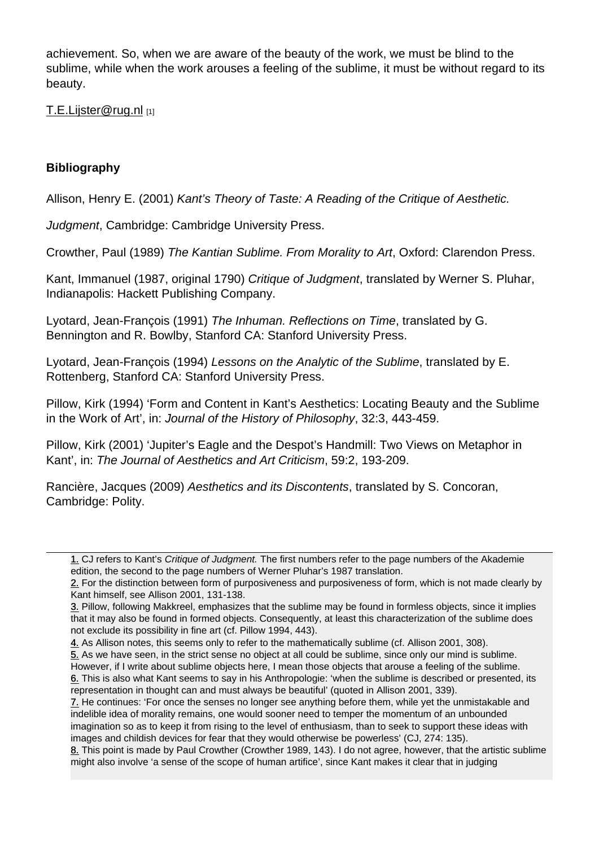achievement. So, when we are aware of the beauty of the work, we must be blind to the sublime, while when the work arouses a feeling of the sublime, it must be without regard to its beauty.

T.E.Lijster@rug.nl [1]

**[Bibliography](mailto:T.E.Lijster@rug.nl)** 

Allison, Henry E. (2001) Kant's Theory of Taste: A Reading of the Critique of Aesthetic.

Judgment, Cambridge: Cambridge University Press.

Crowther, Paul (1989) The Kantian Sublime. From Morality to Art, Oxford: Clarendon Press.

Kant, Immanuel (1987, original 1790) Critique of Judgment, translated by Werner S. Pluhar, Indianapolis: Hackett Publishing Company.

Lyotard, Jean-François (1991) The Inhuman. Reflections on Time, translated by G. Bennington and R. Bowlby, Stanford CA: Stanford University Press.

Lyotard, Jean-François (1994) Lessons on the Analytic of the Sublime, translated by E. Rottenberg, Stanford CA: Stanford University Press.

Pillow, Kirk (1994) 'Form and Content in Kant's Aesthetics: Locating Beauty and the Sublime in the Work of Art', in: Journal of the History of Philosophy, 32:3, 443-459.

Pillow, Kirk (2001) 'Jupiter's Eagle and the Despot's Handmill: Two Views on Metaphor in Kant', in: The Journal of Aesthetics and Art Criticism, 59:2, 193-209.

Rancière, Jacques (2009) Aesthetics and its Discontents, translated by S. Concoran, Cambridge: Polity.

1. CJ refers to Kant's Critique of Judgment. The first numbers refer to the page numbers of the Akademie 1. edition, the second to the page numbers of Werner Pluhar's 1987 translation.

<sup>2.</sup> For the distinction between form of purposiveness and purposiveness of form, which is not made clearly by Kant himself, see Allison 2001, 131-138.

[<sup>3.</sup>](#page-0-0) Pillow, following Makkreel, emphasizes that the sublime may be found in formless objects, since it implies 3. that it may also be found in formed objects. Consequently, at least this characterization of the sublime does [no](#page-1-0)t exclude its possibility in fine art (cf. Pillow 1994, 443).

<sup>4.</sup> As Allison notes, this seems only to refer to the mathematically sublime (cf. Allison 2001, 308).

[<sup>5.</sup>](#page-3-0) As we have seen, in the strict sense no object at all could be sublime, since only our mind is sublime. 5. However, if I write about sublime objects here, I mean those objects that arouse a feeling of the sublime.

<sup>6.</sup> This is also what Kant seems to say in his Anthropologie: 'when the sublime is described or presented, its [re](#page-3-0)presentation in thought can and must always be beautiful' (quoted in Allison 2001, 339).

[<sup>7.</sup>](#page-3-0) He continues: 'For once the senses no longer see anything before them, while yet the unmistakable and 7. indelible idea of morality remains, one would sooner need to temper the momentum of an unbounded [im](#page-5-0)agination so as to keep it from rising to the level of enthusiasm, than to seek to support these ideas with images and childish devices for fear that they would otherwise be powerless' (CJ, 274: 135).

[<sup>8.</sup>](#page-5-0) This point is made by Paul Crowther (Crowther 1989, 143). I do not agree, however, that the artistic sublime might also involve 'a sense of the scope of human artifice', since Kant makes it clear that in judging